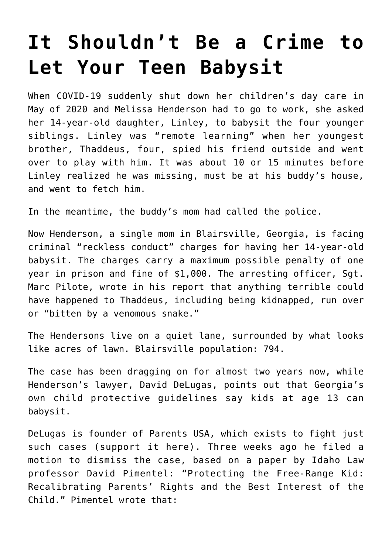## **[It Shouldn't Be a Crime to](https://intellectualtakeout.org/2022/02/it-shouldnt-be-a-crime-to-let-your-teen-babysit/) [Let Your Teen Babysit](https://intellectualtakeout.org/2022/02/it-shouldnt-be-a-crime-to-let-your-teen-babysit/)**

When COVID-19 suddenly shut down her children's day care in May of 2020 and Melissa Henderson had to go to work, she asked her 14-year-old daughter, Linley, to babysit the four younger siblings. Linley was "remote learning" when her youngest brother, Thaddeus, four, spied his friend outside and went over to play with him. It was about 10 or 15 minutes before Linley realized he was missing, must be at his buddy's house, and went to fetch him.

In the meantime, the buddy's mom had called the police.

Now Henderson, a single mom in Blairsville, Georgia, is facing criminal "reckless conduct" charges for having her 14-year-old babysit. The charges carry a maximum possible penalty of one year in prison and fine of \$1,000. The arresting officer, Sgt. Marc Pilote, wrote in his report that anything terrible could have happened to Thaddeus, including being kidnapped, run over or "bitten by a venomous snake."

The Hendersons live on a quiet lane, surrounded by what looks like acres of lawn. Blairsville population: 794.

The case has been dragging on for almost two years now, while Henderson's lawyer, David DeLugas, points out that Georgia's own child protective guidelines say kids at age 13 can babysit.

DeLugas is founder of Parents USA, which exists to fight just such cases (support it here). Three weeks ago he filed a motion to dismiss the case, based on a paper by Idaho Law professor David Pimentel: "Protecting the Free-Range Kid: Recalibrating Parents' Rights and the Best Interest of the Child." Pimentel wrote that: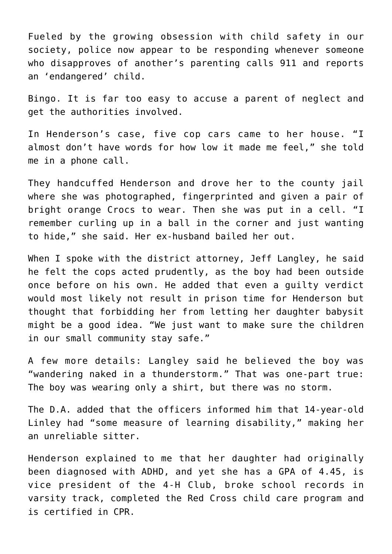Fueled by the growing obsession with child safety in our society, police now appear to be responding whenever someone who disapproves of another's parenting calls 911 and reports an 'endangered' child.

Bingo. It is far too easy to accuse a parent of neglect and get the authorities involved.

In Henderson's case, five cop cars came to her house. "I almost don't have words for how low it made me feel," she told me in a phone call.

They handcuffed Henderson and drove her to the county jail where she was photographed, fingerprinted and given a pair of bright orange Crocs to wear. Then she was put in a cell. "I remember curling up in a ball in the corner and just wanting to hide," she said. Her ex-husband bailed her out.

When I spoke with the district attorney, Jeff Langley, he said he felt the cops acted prudently, as the boy had been outside once before on his own. He added that even a guilty verdict would most likely not result in prison time for Henderson but thought that forbidding her from letting her daughter babysit might be a good idea. "We just want to make sure the children in our small community stay safe."

A few more details: Langley said he believed the boy was "wandering naked in a thunderstorm." That was one-part true: The boy was wearing only a shirt, but there was no storm.

The D.A. added that the officers informed him that 14-year-old Linley had "some measure of learning disability," making her an unreliable sitter.

Henderson explained to me that her daughter had originally been diagnosed with ADHD, and yet she has a GPA of 4.45, is vice president of the 4-H Club, broke school records in varsity track, completed the Red Cross child care program and is certified in CPR.